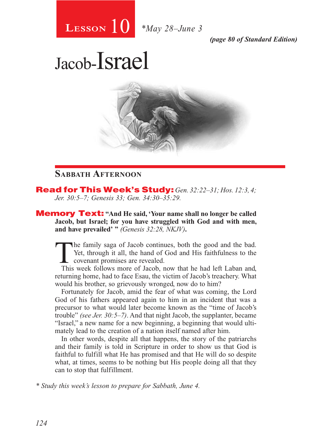# 10 **Lesson** *\*May 28–June 3*

*(page 80 of Standard Edition)*

# Jacob-Israel



## **Sabbath Afternoon**

Read for This Week's Study: *Gen. 32:22–31; Hos. 12:3, 4; Jer. 30:5–7; Genesis 33; Gen. 34:30–35:29.*

Memory Text: **"And He said, 'Your name shall no longer be called Jacob, but Israel; for you have struggled with God and with men, and have prevailed' "** *(Genesis 32:28, NKJV)***.**

The family saga of Jacob continues, both the good and the bad.<br>
Yet, through it all, the hand of God and His faithfulness to the<br>
covenant promises are revealed.<br>
This week follows more of Jacob now that he had left I aban Yet, through it all, the hand of God and His faithfulness to the covenant promises are revealed.

This week follows more of Jacob, now that he had left Laban and, returning home, had to face Esau, the victim of Jacob's treachery. What would his brother, so grievously wronged, now do to him?

Fortunately for Jacob, amid the fear of what was coming, the Lord God of his fathers appeared again to him in an incident that was a precursor to what would later become known as the "time of Jacob's trouble" *(see Jer. 30:5–7)*. And that night Jacob, the supplanter, became "Israel," a new name for a new beginning, a beginning that would ultimately lead to the creation of a nation itself named after him.

In other words, despite all that happens, the story of the patriarchs and their family is told in Scripture in order to show us that God is faithful to fulfill what He has promised and that He will do so despite what, at times, seems to be nothing but His people doing all that they can to stop that fulfillment.

*\* Study this week's lesson to prepare for Sabbath, June 4.*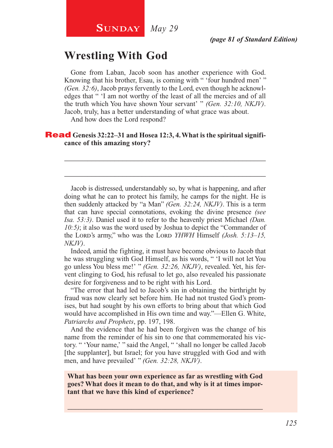# **Wrestling With God**

Gone from Laban, Jacob soon has another experience with God. Knowing that his brother, Esau, is coming with " 'four hundred men' " *(Gen. 32:6)*, Jacob prays fervently to the Lord, even though he acknowledges that " 'I am not worthy of the least of all the mercies and of all the truth which You have shown Your servant' " *(Gen. 32:10, NKJV)*. Jacob, truly, has a better understanding of what grace was about.

And how does the Lord respond?

#### Read **Genesis 32:22–31 and Hosea 12:3, 4. What is the spiritual significance of this amazing story?**

Jacob is distressed, understandably so, by what is happening, and after doing what he can to protect his family, he camps for the night. He is then suddenly attacked by "a Man" *(Gen. 32:24, NKJV)*. This is a term that can have special connotations, evoking the divine presence *(see Isa. 53:3)*. Daniel used it to refer to the heavenly priest Michael *(Dan. 10:5)*; it also was the word used by Joshua to depict the "Commander of the Lord's army," who was the Lord *YHWH* Himself *(Josh. 5:13–15, NKJV)*.

\_\_\_\_\_\_\_\_\_\_\_\_\_\_\_\_\_\_\_\_\_\_\_\_\_\_\_\_\_\_\_\_\_\_\_\_\_\_\_\_\_\_\_\_\_\_\_\_\_\_\_\_

\_\_\_\_\_\_\_\_\_\_\_\_\_\_\_\_\_\_\_\_\_\_\_\_\_\_\_\_\_\_\_\_\_\_\_\_\_\_\_\_\_\_\_\_\_\_\_\_\_\_\_\_

Indeed, amid the fighting, it must have become obvious to Jacob that he was struggling with God Himself, as his words, " 'I will not let You go unless You bless me!' " *(Gen. 32:26, NKJV)*, revealed. Yet, his fervent clinging to God, his refusal to let go, also revealed his passionate desire for forgiveness and to be right with his Lord.

"The error that had led to Jacob's sin in obtaining the birthright by fraud was now clearly set before him. He had not trusted God's promises, but had sought by his own efforts to bring about that which God would have accomplished in His own time and way."—Ellen G. White, *Patriarchs and Prophets*, pp. 197, 198.

And the evidence that he had been forgiven was the change of his name from the reminder of his sin to one that commemorated his victory. " 'Your name,' " said the Angel, " 'shall no longer be called Jacob [the supplanter], but Israel; for you have struggled with God and with men, and have prevailed' " *(Gen. 32:28, NKJV)*.

**What has been your own experience as far as wrestling with God goes? What does it mean to do that, and why is it at times important that we have this kind of experience?**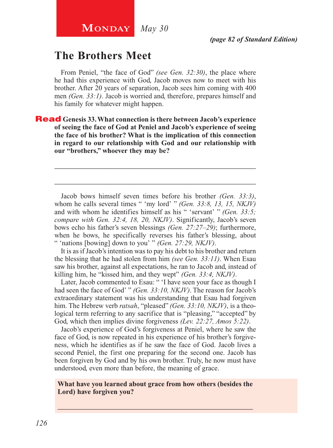# **The Brothers Meet**

From Peniel, "the face of God" *(see Gen. 32:30)*, the place where he had this experience with God, Jacob moves now to meet with his brother. After 20 years of separation, Jacob sees him coming with 400 men *(Gen. 33:1)*. Jacob is worried and, therefore, prepares himself and his family for whatever might happen.

Read **Genesis 33. What connection is there between Jacob's experience of seeing the face of God at Peniel and Jacob's experience of seeing the face of his brother? What is the implication of this connection in regard to our relationship with God and our relationship with our "brothers," whoever they may be?**

Jacob bows himself seven times before his brother *(Gen. 33:3)*, whom he calls several times " 'my lord' " *(Gen. 33:8, 13, 15, NKJV)*  and with whom he identifies himself as his " 'servant' " *(Gen. 33:5; compare with Gen. 32:4, 18, 20, NKJV)*. Significantly, Jacob's seven bows echo his father's seven blessings *(Gen. 27:27–29)*; furthermore, when he bows, he specifically reverses his father's blessing, about " 'nations [bowing] down to you' " *(Gen. 27:29, NKJV)*.

\_\_\_\_\_\_\_\_\_\_\_\_\_\_\_\_\_\_\_\_\_\_\_\_\_\_\_\_\_\_\_\_\_\_\_\_\_\_\_\_\_\_\_\_\_\_\_\_\_\_\_\_

\_\_\_\_\_\_\_\_\_\_\_\_\_\_\_\_\_\_\_\_\_\_\_\_\_\_\_\_\_\_\_\_\_\_\_\_\_\_\_\_\_\_\_\_\_\_\_\_\_\_\_\_

It is as if Jacob's intention was to pay his debt to his brother and return the blessing that he had stolen from him *(see Gen. 33:11)*. When Esau saw his brother, against all expectations, he ran to Jacob and, instead of killing him, he "kissed him, and they wept" *(Gen. 33:4, NKJV)*.

Later, Jacob commented to Esau: " 'I have seen your face as though I had seen the face of God' " *(Gen. 33:10, NKJV)*. The reason for Jacob's extraordinary statement was his understanding that Esau had forgiven him. The Hebrew verb *ratsah*, "pleased" *(Gen. 33:10, NKJV)*, is a theological term referring to any sacrifice that is "pleasing," "accepted" by God, which then implies divine forgiveness *(Lev. 22:27, Amos 5:22)*.

Jacob's experience of God's forgiveness at Peniel, where he saw the face of God, is now repeated in his experience of his brother's forgiveness, which he identifies as if he saw the face of God. Jacob lives a second Peniel, the first one preparing for the second one. Jacob has been forgiven by God and by his own brother. Truly, he now must have understood, even more than before, the meaning of grace.

#### **What have you learned about grace from how others (besides the Lord) have forgiven you?**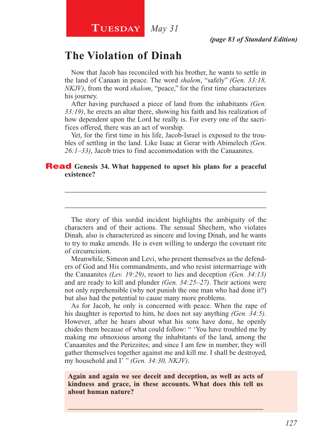### **Tuesday** *May 31*

# **The Violation of Dinah**

Now that Jacob has reconciled with his brother, he wants to settle in the land of Canaan in peace. The word *shalem*, "safely" *(Gen. 33:18, NKJV)*, from the word *shalom*, "peace," for the first time characterizes his journey.

After having purchased a piece of land from the inhabitants *(Gen. 33:19)*, he erects an altar there, showing his faith and his realization of how dependent upon the Lord he really is. For every one of the sacrifices offered, there was an act of worship.

Yet, for the first time in his life, Jacob-Israel is exposed to the troubles of settling in the land. Like Isaac at Gerar with Abimelech *(Gen. 26:1–33)*, Jacob tries to find accommodation with the Canaanites.

\_\_\_\_\_\_\_\_\_\_\_\_\_\_\_\_\_\_\_\_\_\_\_\_\_\_\_\_\_\_\_\_\_\_\_\_\_\_\_\_\_\_\_\_\_\_\_\_\_\_\_\_

\_\_\_\_\_\_\_\_\_\_\_\_\_\_\_\_\_\_\_\_\_\_\_\_\_\_\_\_\_\_\_\_\_\_\_\_\_\_\_\_\_\_\_\_\_\_\_\_\_\_\_\_

#### Read **Genesis 34. What happened to upset his plans for a peaceful existence?**

The story of this sordid incident highlights the ambiguity of the characters and of their actions. The sensual Shechem, who violates Dinah, also is characterized as sincere and loving Dinah, and he wants to try to make amends. He is even willing to undergo the covenant rite of circumcision.

Meanwhile, Simeon and Levi, who present themselves as the defenders of God and His commandments, and who resist intermarriage with the Canaanites *(Lev. 19:29)*, resort to lies and deception *(Gen. 34:13)*  and are ready to kill and plunder *(Gen. 34:25–27)*. Their actions were not only reprehensible (why not punish the one man who had done it?) but also had the potential to cause many more problems.

As for Jacob, he only is concerned with peace. When the rape of his daughter is reported to him, he does not say anything *(Gen. 34:5)*. However, after he hears about what his sons have done, he openly chides them because of what could follow: " 'You have troubled me by making me obnoxious among the inhabitants of the land, among the Canaanites and the Perizzites; and since I am few in number, they will gather themselves together against me and kill me. I shall be destroyed, my household and I' " *(Gen. 34:30, NKJV)*.

**Again and again we see deceit and deception, as well as acts of kindness and grace, in these accounts. What does this tell us about human nature?**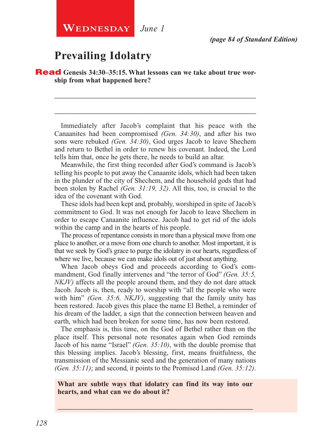# **Prevailing Idolatry**

**Read** Genesis 34:30-35:15. What lessons can we take about true wor**ship from what happened here?**

Immediately after Jacob's complaint that his peace with the Canaanites had been compromised *(Gen. 34:30)*, and after his two sons were rebuked *(Gen. 34:30)*, God urges Jacob to leave Shechem and return to Bethel in order to renew his covenant. Indeed, the Lord tells him that, once he gets there, he needs to build an altar.

\_\_\_\_\_\_\_\_\_\_\_\_\_\_\_\_\_\_\_\_\_\_\_\_\_\_\_\_\_\_\_\_\_\_\_\_\_\_\_\_\_\_\_\_\_\_\_\_\_\_\_\_

\_\_\_\_\_\_\_\_\_\_\_\_\_\_\_\_\_\_\_\_\_\_\_\_\_\_\_\_\_\_\_\_\_\_\_\_\_\_\_\_\_\_\_\_\_\_\_\_\_\_\_\_

Meanwhile, the first thing recorded after God's command is Jacob's telling his people to put away the Canaanite idols, which had been taken in the plunder of the city of Shechem, and the household gods that had been stolen by Rachel *(Gen. 31:19, 32)*. All this, too, is crucial to the idea of the covenant with God.

These idols had been kept and, probably, worshiped in spite of Jacob's commitment to God. It was not enough for Jacob to leave Shechem in order to escape Canaanite influence. Jacob had to get rid of the idols within the camp and in the hearts of his people.

The process of repentance consists in more than a physical move from one place to another, or a move from one church to another. Most important, it is that we seek by God's grace to purge the idolatry in our hearts, regardless of where we live, because we can make idols out of just about anything.

When Jacob obeys God and proceeds according to God's commandment, God finally intervenes and "the terror of God" *(Gen. 35:5, NKJV)* affects all the people around them, and they do not dare attack Jacob. Jacob is, then, ready to worship with "all the people who were with him" *(Gen. 35:6, NKJV)*, suggesting that the family unity has been restored. Jacob gives this place the name El Bethel, a reminder of his dream of the ladder, a sign that the connection between heaven and earth, which had been broken for some time, has now been restored.

The emphasis is, this time, on the God of Bethel rather than on the place itself. This personal note resonates again when God reminds Jacob of his name "Israel" *(Gen. 35:10)*, with the double promise that this blessing implies. Jacob's blessing, first, means fruitfulness, the transmission of the Messianic seed and the generation of many nations *(Gen. 35:11)*; and second, it points to the Promised Land *(Gen. 35:12)*.

#### **What are subtle ways that idolatry can find its way into our hearts, and what can we do about it?**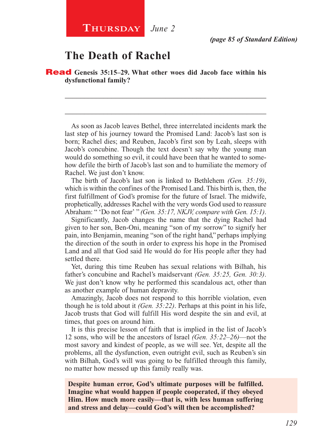# **The Death of Rachel**

Read **Genesis 35:15–29. What other woes did Jacob face within his dysfunctional family?**

As soon as Jacob leaves Bethel, three interrelated incidents mark the last step of his journey toward the Promised Land: Jacob's last son is born; Rachel dies; and Reuben, Jacob's first son by Leah, sleeps with Jacob's concubine. Though the text doesn't say why the young man would do something so evil, it could have been that he wanted to somehow defile the birth of Jacob's last son and to humiliate the memory of Rachel. We just don't know.

\_\_\_\_\_\_\_\_\_\_\_\_\_\_\_\_\_\_\_\_\_\_\_\_\_\_\_\_\_\_\_\_\_\_\_\_\_\_\_\_\_\_\_\_\_\_\_\_\_\_\_\_

\_\_\_\_\_\_\_\_\_\_\_\_\_\_\_\_\_\_\_\_\_\_\_\_\_\_\_\_\_\_\_\_\_\_\_\_\_\_\_\_\_\_\_\_\_\_\_\_\_\_\_\_

The birth of Jacob's last son is linked to Bethlehem *(Gen. 35:19)*, which is within the confines of the Promised Land. This birth is, then, the first fulfillment of God's promise for the future of Israel. The midwife, prophetically, addresses Rachel with the very words God used to reassure Abraham: " 'Do not fear' " *(Gen. 35:17, NKJV, compare with Gen. 15:1)*.

Significantly, Jacob changes the name that the dying Rachel had given to her son, Ben-Oni, meaning "son of my sorrow" to signify her pain, into Benjamin, meaning "son of the right hand," perhaps implying the direction of the south in order to express his hope in the Promised Land and all that God said He would do for His people after they had settled there.

Yet, during this time Reuben has sexual relations with Bilhah, his father's concubine and Rachel's maidservant *(Gen. 35:25, Gen. 30:3)*. We just don't know why he performed this scandalous act, other than as another example of human depravity.

Amazingly, Jacob does not respond to this horrible violation, even though he is told about it *(Gen. 35:22)*. Perhaps at this point in his life, Jacob trusts that God will fulfill His word despite the sin and evil, at times, that goes on around him.

It is this precise lesson of faith that is implied in the list of Jacob's 12 sons, who will be the ancestors of Israel *(Gen. 35:22–26)*—not the most savory and kindest of people, as we will see. Yet, despite all the problems, all the dysfunction, even outright evil, such as Reuben's sin with Bilhah, God's will was going to be fulfilled through this family, no matter how messed up this family really was.

**Despite human error, God's ultimate purposes will be fulfilled. Imagine what would happen if people cooperated, if they obeyed Him. How much more easily—that is, with less human suffering and stress and delay—could God's will then be accomplished?**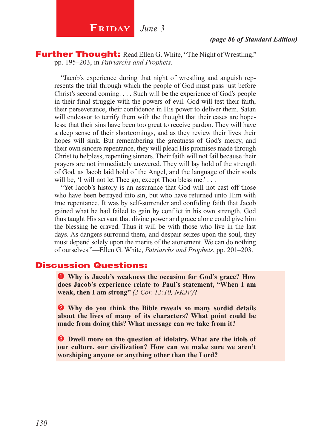

**Further Thought:** Read Ellen G. White, "The Night of Wrestling," pp. 195–203, in *Patriarchs and Prophets*.

"Jacob's experience during that night of wrestling and anguish represents the trial through which the people of God must pass just before Christ's second coming. . . . Such will be the experience of God's people in their final struggle with the powers of evil. God will test their faith, their perseverance, their confidence in His power to deliver them. Satan will endeavor to terrify them with the thought that their cases are hopeless; that their sins have been too great to receive pardon. They will have a deep sense of their shortcomings, and as they review their lives their hopes will sink. But remembering the greatness of God's mercy, and their own sincere repentance, they will plead His promises made through Christ to helpless, repenting sinners. Their faith will not fail because their prayers are not immediately answered. They will lay hold of the strength of God, as Jacob laid hold of the Angel, and the language of their souls will be, 'I will not let Thee go, except Thou bless me.' . . .

"Yet Jacob's history is an assurance that God will not cast off those who have been betrayed into sin, but who have returned unto Him with true repentance. It was by self-surrender and confiding faith that Jacob gained what he had failed to gain by conflict in his own strength. God thus taught His servant that divine power and grace alone could give him the blessing he craved. Thus it will be with those who live in the last days. As dangers surround them, and despair seizes upon the soul, they must depend solely upon the merits of the atonement. We can do nothing of ourselves."—Ellen G. White, *Patriarchs and Prophets*, pp. 201–203.

#### Discussion Questions:

 **Why is Jacob's weakness the occasion for God's grace? How does Jacob's experience relate to Paul's statement, "When I am weak, then I am strong"** *(2 Cor. 12:10, NKJV)***?**

 **Why do you think the Bible reveals so many sordid details about the lives of many of its characters? What point could be made from doing this? What message can we take from it?**

**B** Dwell more on the question of idolatry. What are the idols of **our culture, our civilization? How can we make sure we aren't worshiping anyone or anything other than the Lord?**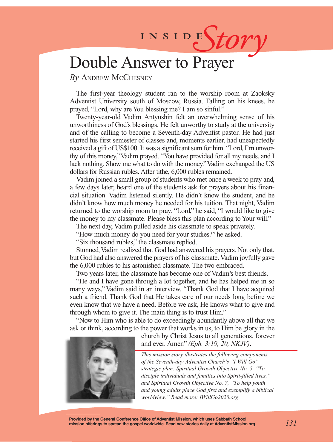# INSIDES*tory*

# Double Answer to Prayer

*By* Andrew McChesney

The first-year theology student ran to the worship room at Zaoksky Adventist University south of Moscow, Russia. Falling on his knees, he prayed, "Lord, why are You blessing me? I am so sinful."

Twenty-year-old Vadim Antyushin felt an overwhelming sense of his unworthiness of God's blessings. He felt unworthy to study at the university and of the calling to become a Seventh-day Adventist pastor. He had just started his first semester of classes and, moments earlier, had unexpectedly received a gift of US\$100. It was a significant sum for him. "Lord, I'm unworthy of this money," Vadim prayed. "You have provided for all my needs, and I lack nothing. Show me what to do with the money." Vadim exchanged the US dollars for Russian rubles. After tithe, 6,000 rubles remained.

Vadim joined a small group of students who met once a week to pray and, a few days later, heard one of the students ask for prayers about his financial situation. Vadim listened silently. He didn't know the student, and he didn't know how much money he needed for his tuition. That night, Vadim returned to the worship room to pray. "Lord," he said, "I would like to give the money to my classmate. Please bless this plan according to Your will."

The next day, Vadim pulled aside his classmate to speak privately.

"How much money do you need for your studies?" he asked.

"Six thousand rubles," the classmate replied.

Stunned, Vadim realized that God had answered his prayers. Not only that, but God had also answered the prayers of his classmate. Vadim joyfully gave the 6,000 rubles to his astonished classmate. The two embraced.

Two years later, the classmate has become one of Vadim's best friends.

"He and I have gone through a lot together, and he has helped me in so many ways," Vadim said in an interview. "Thank God that I have acquired such a friend. Thank God that He takes care of our needs long before we even know that we have a need. Before we ask, He knows what to give and through whom to give it. The main thing is to trust Him."

"Now to Him who is able to do exceedingly abundantly above all that we ask or think, according to the power that works in us, to Him be glory in the



church by Christ Jesus to all generations, forever and ever. Amen" *(Eph. 3:19, 20, NKJV)*.

*This mission story illustrates the following components of the Seventh-day Adventist Church's "I Will Go" strategic plan: Spiritual Growth Objective No. 5, "To disciple individuals and families into Spirit-filled lives," and Spiritual Growth Objective No. 7, "To help youth and young adults place God first and exemplify a biblical worldview." Read more: IWillGo2020.org.*

**Provided by the General Conference Office of Adventist Mission, which uses Sabbath School mission offerings to spread the gospel worldwide. Read new stories daily at AdventistMission.org.**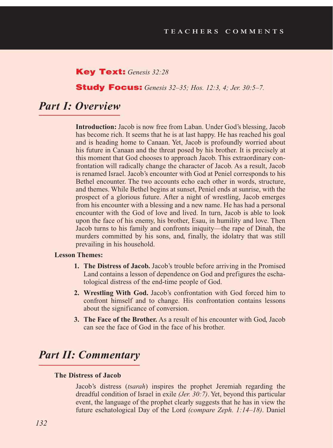#### Key Text: *Genesis 32:28*

#### Study Focus: *Genesis 32–35; Hos. 12:3, 4; Jer. 30:5–7.*

## *Part I: Overview*

**Introduction:** Jacob is now free from Laban. Under God's blessing, Jacob has become rich. It seems that he is at last happy. He has reached his goal and is heading home to Canaan. Yet, Jacob is profoundly worried about his future in Canaan and the threat posed by his brother. It is precisely at this moment that God chooses to approach Jacob. This extraordinary confrontation will radically change the character of Jacob. As a result, Jacob is renamed Israel. Jacob's encounter with God at Peniel corresponds to his Bethel encounter. The two accounts echo each other in words, structure, and themes. While Bethel begins at sunset, Peniel ends at sunrise, with the prospect of a glorious future. After a night of wrestling, Jacob emerges from his encounter with a blessing and a new name. He has had a personal encounter with the God of love and lived. In turn, Jacob is able to look upon the face of his enemy, his brother, Esau, in humility and love. Then Jacob turns to his family and confronts iniquity—the rape of Dinah, the murders committed by his sons, and, finally, the idolatry that was still prevailing in his household.

#### **Lesson Themes:**

- **1. The Distress of Jacob.** Jacob's trouble before arriving in the Promised Land contains a lesson of dependence on God and prefigures the eschatological distress of the end-time people of God.
- **2. Wrestling With God.** Jacob's confrontation with God forced him to confront himself and to change. His confrontation contains lessons about the significance of conversion.
- **3. The Face of the Brother.** As a result of his encounter with God, Jacob can see the face of God in the face of his brother.

# *Part II: Commentary*

#### **The Distress of Jacob**

Jacob's distress (*tsarah*) inspires the prophet Jeremiah regarding the dreadful condition of Israel in exile *(Jer. 30:7)*. Yet, beyond this particular event, the language of the prophet clearly suggests that he has in view the future eschatological Day of the Lord *(compare Zeph. 1:14–18)*. Daniel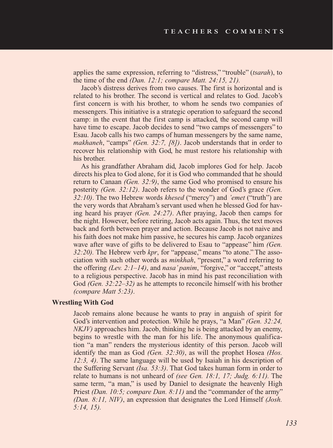applies the same expression, referring to "distress," "trouble" (*tsarah*), to the time of the end *(Dan. 12:1; compare Matt. 24:15, 21).*

Jacob's distress derives from two causes. The first is horizontal and is related to his brother. The second is vertical and relates to God. Jacob's first concern is with his brother, to whom he sends two companies of messengers. This initiative is a strategic operation to safeguard the second camp: in the event that the first camp is attacked, the second camp will have time to escape. Jacob decides to send "two camps of messengers" to Esau. Jacob calls his two camps of human messengers by the same name, *makhaneh*, "camps" *(Gen. 32:7, [8])*. Jacob understands that in order to recover his relationship with God, he must restore his relationship with his brother.

As his grandfather Abraham did, Jacob implores God for help. Jacob directs his plea to God alone, for it is God who commanded that he should return to Canaan *(Gen. 32:9)*, the same God who promised to ensure his posterity *(Gen. 32:12)*. Jacob refers to the wonder of God's grace *(Gen. 32:10)*. The two Hebrew words *khesed* ("mercy") and *'emet* ("truth") are the very words that Abraham's servant used when he blessed God for having heard his prayer *(Gen. 24:27)*. After praying, Jacob then camps for the night. However, before retiring, Jacob acts again. Thus, the text moves back and forth between prayer and action. Because Jacob is not naive and his faith does not make him passive, he secures his camp. Jacob organizes wave after wave of gifts to be delivered to Esau to "appease" him *(Gen. 32:20).* The Hebrew verb *kpr*, for "appease," means "to atone." The association with such other words as *minkhah*, "present," a word referring to the offering *(Lev. 2:1–14)*, and *nasa' panim*, "forgive," or "accept," attests to a religious perspective. Jacob has in mind his past reconciliation with God *(Gen. 32:22–32)* as he attempts to reconcile himself with his brother *(compare Matt 5:23)*.

#### **Wrestling With God**

Jacob remains alone because he wants to pray in anguish of spirit for God's intervention and protection. While he prays, "a Man" *(Gen. 32:24, NKJV)* approaches him. Jacob, thinking he is being attacked by an enemy, begins to wrestle with the man for his life. The anonymous qualification "a man" renders the mysterious identity of this person. Jacob will identify the man as God *(Gen. 32:30)*, as will the prophet Hosea *(Hos. 12:3, 4)*. The same language will be used by Isaiah in his description of the Suffering Servant *(Isa. 53:3)*. That God takes human form in order to relate to humans is not unheard of *(see Gen. 18:1, 17; Judg. 6:11).* The same term, "a man," is used by Daniel to designate the heavenly High Priest *(Dan. 10:5; compare Dan. 8:11)* and the "commander of the army" *(Dan. 8:11, NIV)*, an expression that designates the Lord Himself *(Josh. 5:14, 15).*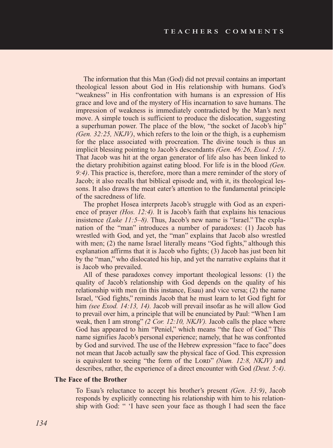The information that this Man (God) did not prevail contains an important theological lesson about God in His relationship with humans. God's "weakness" in His confrontation with humans is an expression of His grace and love and of the mystery of His incarnation to save humans. The impression of weakness is immediately contradicted by the Man's next move. A simple touch is sufficient to produce the dislocation, suggesting a superhuman power. The place of the blow, "the socket of Jacob's hip" *(Gen. 32:25, NKJV)*, which refers to the loin or the thigh, is a euphemism for the place associated with procreation. The divine touch is thus an implicit blessing pointing to Jacob's descendants *(Gen. 46:26, Exod. 1:5)*. That Jacob was hit at the organ generator of life also has been linked to the dietary prohibition against eating blood. For life is in the blood *(Gen. 9:4)*. This practice is, therefore, more than a mere reminder of the story of Jacob; it also recalls that biblical episode and, with it, its theological lessons. It also draws the meat eater's attention to the fundamental principle of the sacredness of life.

The prophet Hosea interprets Jacob's struggle with God as an experience of prayer *(Hos. 12:4).* It is Jacob's faith that explains his tenacious insistence *(Luke 11:5–8).* Thus, Jacob's new name is "Israel." The explanation of the "man" introduces a number of paradoxes: (1) Jacob has wrestled with God, and yet, the "man" explains that Jacob also wrestled with men; (2) the name Israel literally means "God fights," although this explanation affirms that it is Jacob who fights; (3) Jacob has just been hit by the "man," who dislocated his hip, and yet the narrative explains that it is Jacob who prevailed.

All of these paradoxes convey important theological lessons: (1) the quality of Jacob's relationship with God depends on the quality of his relationship with men (in this instance, Esau) and vice versa; (2) the name Israel, "God fights," reminds Jacob that he must learn to let God fight for him *(see Exod. 14:13, 14).* Jacob will prevail insofar as he will allow God to prevail over him, a principle that will be enunciated by Paul: "When I am weak, then I am strong" *(2 Cor. 12:10, NKJV).* Jacob calls the place where God has appeared to him "Peniel," which means "the face of God." This name signifies Jacob's personal experience; namely, that he was confronted by God and survived. The use of the Hebrew expression "face to face" does not mean that Jacob actually saw the physical face of God. This expression is equivalent to seeing "the form of the Lord" *(Num. 12:8, NKJV)* and describes, rather, the experience of a direct encounter with God *(Deut. 5:4)*.

#### **The Face of the Brother**

To Esau's reluctance to accept his brother's present *(Gen. 33:9)*, Jacob responds by explicitly connecting his relationship with him to his relationship with God: " 'I have seen your face as though I had seen the face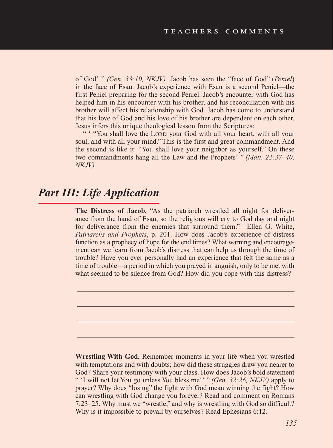of God' " *(Gen. 33:10, NKJV).* Jacob has seen the "face of God" (*Peniel*) in the face of Esau. Jacob's experience with Esau is a second Peniel—the first Peniel preparing for the second Peniel. Jacob's encounter with God has helped him in his encounter with his brother, and his reconciliation with his brother will affect his relationship with God. Jacob has come to understand that his love of God and his love of his brother are dependent on each other. Jesus infers this unique theological lesson from the Scriptures:

" "You shall love the LORD your God with all your heart, with all your soul, and with all your mind." This is the first and great commandment. And the second is like it: "You shall love your neighbor as yourself." On these two commandments hang all the Law and the Prophets' " *(Matt. 22:37–40, NKJV).* 

# *Part III: Life Application*

**The Distress of Jacob.** "As the patriarch wrestled all night for deliverance from the hand of Esau, so the religious will cry to God day and night for deliverance from the enemies that surround them."—Ellen G. White, *Patriarchs and Prophets*, p. 201. How does Jacob's experience of distress function as a prophecy of hope for the end times? What warning and encouragement can we learn from Jacob's distress that can help us through the time of trouble? Have you ever personally had an experience that felt the same as a time of trouble—a period in which you prayed in anguish, only to be met with what seemed to be silence from God? How did you cope with this distress?

**Wrestling With God.** Remember moments in your life when you wrestled with temptations and with doubts; how did these struggles draw you nearer to God? Share your testimony with your class. How does Jacob's bold statement " 'I will not let You go unless You bless me!' " *(Gen. 32:26, NKJV)* apply to prayer? Why does "losing" the fight with God mean winning the fight? How can wrestling with God change you forever? Read and comment on Romans 7:23–25. Why must we "wrestle," and why is wrestling with God so difficult? Why is it impossible to prevail by ourselves? Read Ephesians 6:12.